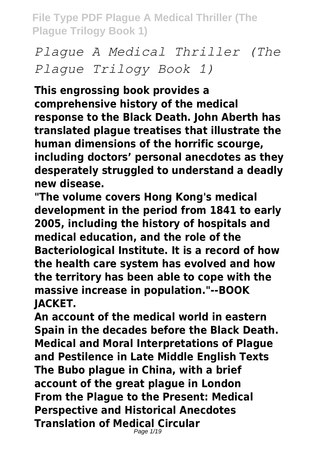*Plague A Medical Thriller (The Plague Trilogy Book 1)*

**This engrossing book provides a comprehensive history of the medical response to the Black Death. John Aberth has translated plague treatises that illustrate the human dimensions of the horrific scourge, including doctors' personal anecdotes as they desperately struggled to understand a deadly new disease.**

**"The volume covers Hong Kong's medical development in the period from 1841 to early 2005, including the history of hospitals and medical education, and the role of the Bacteriological Institute. It is a record of how the health care system has evolved and how the territory has been able to cope with the massive increase in population."--BOOK JACKET.**

**An account of the medical world in eastern Spain in the decades before the Black Death. Medical and Moral Interpretations of Plague and Pestilence in Late Middle English Texts The Bubo plague in China, with a brief account of the great plague in London From the Plague to the Present: Medical Perspective and Historical Anecdotes Translation of Medical Circular** Page  $1/19$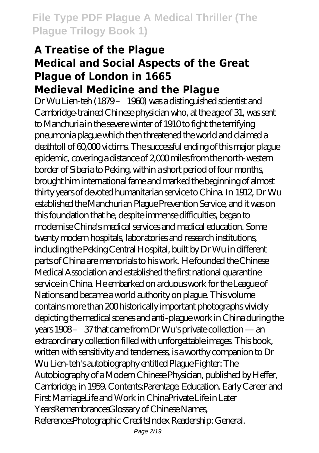#### **A Treatise of the Plague Medical and Social Aspects of the Great Plague of London in 1665 Medieval Medicine and the Plague**

Dr Wu Lien-teh (1879 – 1960) was a distinguished scientist and Cambridge-trained Chinese physician who, at the age of 31, was sent to Manchuria in the severe winter of 1910 to fight the terrifying pneumonia plague which then threatened the world and claimed a deathtoll of 60,000 victims. The successful ending of this major plague epidemic, covering a distance of 2,000 miles from the north-western border of Siberia to Peking, within a short period of four months, brought him international fame and marked the beginning of almost thirty years of devoted humanitarian service to China. In 1912, Dr Wu established the Manchurian Plague Prevention Service, and it was on this foundation that he, despite immense difficulties, began to modernise China's medical services and medical education. Some twenty modern hospitals, laboratories and research institutions, including the Peking Central Hospital, built by Dr Wu in different parts of China are memorials to his work. He founded the Chinese Medical Association and established the first national quarantine service in China. He embarked on arduous work for the League of Nations and became a world authority on plague. This volume contains more than 200 historically important photographs vividly depicting the medical scenes and anti-plague work in China during the years 1908 – 37 that came from Dr Wu's private collection — an extraordinary collection filled with unforgettable images. This book, written with sensitivity and tenderness, is a worthy companion to Dr Wu Lien-teh's autobiography entitled Plague Fighter: The Autobiography of a Modern Chinese Physician, published by Heffer, Cambridge, in 1959. Contents:Parentage. Education. Early Career and First MarriageLife and Work in ChinaPrivate Life in Later YearsRemembrancesGlossary of Chinese Names, ReferencesPhotographic CreditsIndex Readership: General.

Page 2/19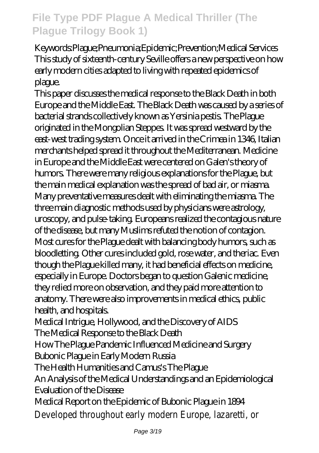Keywords:Plague;Pneumonia;Epidemic;Prevention;Medical Services This study of sixteenth-century Seville offers a new perspective on how early modern cities adapted to living with repeated epidemics of plague.

This paper discusses the medical response to the Black Death in both Europe and the Middle East. The Black Death was caused by a series of bacterial strands collectively known as Yersinia pestis. The Plague originated in the Mongolian Steppes. It was spread westward by the east-west trading system. Once it arrived in the Crimea in 1346, Italian merchants helped spread it throughout the Mediterranean. Medicine in Europe and the Middle East were centered on Galen's theory of humors. There were many religious explanations for the Plague, but the main medical explanation was the spread of bad air, or miasma. Many preventative measures dealt with eliminating the miasma. The three main diagnostic methods used by physicians were astrology, uroscopy, and pulse-taking. Europeans realized the contagious nature of the disease, but many Muslims refuted the notion of contagion. Most cures for the Plague dealt with balancing body humors, such as bloodletting. Other cures included gold, rose water, and theriac. Even though the Plague killed many, it had beneficial effects on medicine, especially in Europe. Doctors began to question Galenic medicine, they relied more on observation, and they paid more attention to anatomy. There were also improvements in medical ethics, public health, and hospitals.

Medical Intrigue, Hollywood, and the Discovery of AIDS The Medical Response to the Black Death

How The Plague Pandemic Influenced Medicine and Surgery Bubonic Plague in Early Modern Russia

The Health Humanities and Camus's The Plague

An Analysis of the Medical Understandings and an Epidemiological Evaluation of the Disease

Medical Report on the Epidemic of Bubonic Plague in 1894 Developed throughout early modern Europe, lazaretti, or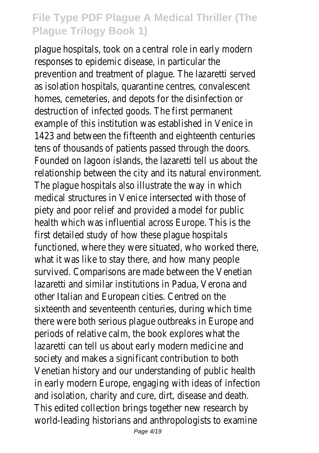plague hospitals, took on a central role in early modern responses to epidemic disease, in particular the prevention and treatment of plague. The lazaretti served as isolation hospitals, quarantine centres, convalescent homes, cemeteries, and depots for the disinfection or destruction of infected goods. The first permanent example of this institution was established in Venice in 1423 and between the fifteenth and eighteenth centuries tens of thousands of patients passed through the doors. Founded on lagoon islands, the lazaretti tell us about the relationship between the city and its natural environment. The plague hospitals also illustrate the way in which medical structures in Venice intersected with those of piety and poor relief and provided a model for public health which was influential across Europe. This is the first detailed study of how these plague hospitals functioned, where they were situated, who worked there, what it was like to stay there, and how many people survived. Comparisons are made between the Venetian lazaretti and similar institutions in Padua, Verona and other Italian and European cities. Centred on the sixteenth and seventeenth centuries, during which time there were both serious plague outbreaks in Europe and periods of relative calm, the book explores what the lazaretti can tell us about early modern medicine and society and makes a significant contribution to both Venetian history and our understanding of public health in early modern Europe, engaging with ideas of infection and isolation, charity and cure, dirt, disease and death. This edited collection brings together new research by world-leading historians and anthropologists to examine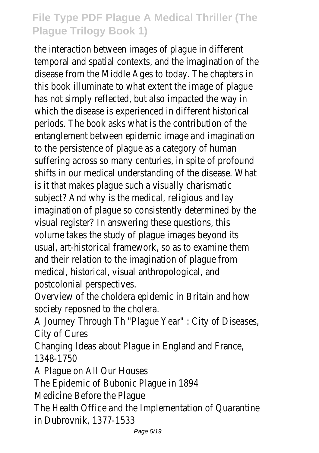the interaction between images of plague in different temporal and spatial contexts, and the imagination of the disease from the Middle Ages to today. The chapters in this book illuminate to what extent the image of plague has not simply reflected, but also impacted the way in which the disease is experienced in different historical periods. The book asks what is the contribution of the entanglement between epidemic image and imagination to the persistence of plague as a category of human suffering across so many centuries, in spite of profound shifts in our medical understanding of the disease. What is it that makes plague such a visually charismatic subject? And why is the medical, religious and lay imagination of plague so consistently determined by the visual register? In answering these questions, this volume takes the study of plague images beyond its usual, art-historical framework, so as to examine them and their relation to the imagination of plague from medical, historical, visual anthropological, and postcolonial perspectives.

Overview of the choldera epidemic in Britain and how society reposned to the cholera.

A Journey Through Th "Plague Year" : City of Diseases, City of Cures

Changing Ideas about Plague in England and France, 1348-1750

A Plague on All Our Houses

The Epidemic of Bubonic Plague in 1894

Medicine Before the Plague

The Health Office and the Implementation of Quarantine in Dubrovnik, 1377-1533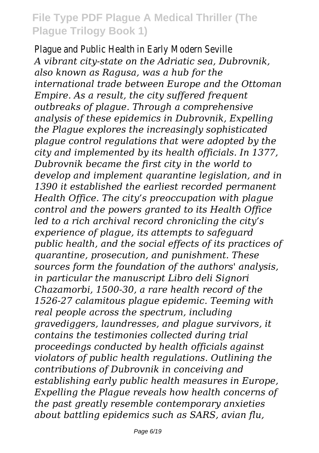Plague and Public Health in Early Modern Seville *A vibrant city-state on the Adriatic sea, Dubrovnik, also known as Ragusa, was a hub for the international trade between Europe and the Ottoman Empire. As a result, the city suffered frequent outbreaks of plague. Through a comprehensive analysis of these epidemics in Dubrovnik, Expelling the Plague explores the increasingly sophisticated plague control regulations that were adopted by the city and implemented by its health officials. In 1377, Dubrovnik became the first city in the world to develop and implement quarantine legislation, and in 1390 it established the earliest recorded permanent Health Office. The city's preoccupation with plague control and the powers granted to its Health Office led to a rich archival record chronicling the city's experience of plague, its attempts to safeguard public health, and the social effects of its practices of quarantine, prosecution, and punishment. These sources form the foundation of the authors' analysis, in particular the manuscript Libro deli Signori Chazamorbi, 1500-30, a rare health record of the 1526-27 calamitous plague epidemic. Teeming with real people across the spectrum, including gravediggers, laundresses, and plague survivors, it contains the testimonies collected during trial proceedings conducted by health officials against violators of public health regulations. Outlining the contributions of Dubrovnik in conceiving and establishing early public health measures in Europe, Expelling the Plague reveals how health concerns of the past greatly resemble contemporary anxieties about battling epidemics such as SARS, avian flu,*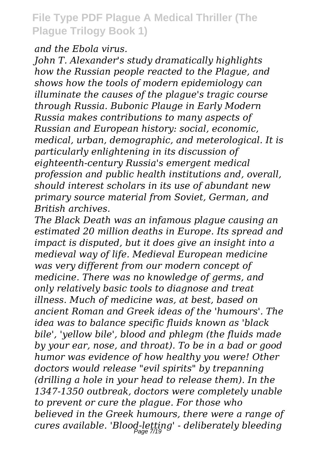*and the Ebola virus.*

*John T. Alexander's study dramatically highlights how the Russian people reacted to the Plague, and shows how the tools of modern epidemiology can illuminate the causes of the plague's tragic course through Russia. Bubonic Plauge in Early Modern Russia makes contributions to many aspects of Russian and European history: social, economic, medical, urban, demographic, and meterological. It is particularly enlightening in its discussion of eighteenth-century Russia's emergent medical profession and public health institutions and, overall, should interest scholars in its use of abundant new primary source material from Soviet, German, and British archives.*

*The Black Death was an infamous plague causing an estimated 20 million deaths in Europe. Its spread and impact is disputed, but it does give an insight into a medieval way of life. Medieval European medicine was very different from our modern concept of medicine. There was no knowledge of germs, and only relatively basic tools to diagnose and treat illness. Much of medicine was, at best, based on ancient Roman and Greek ideas of the 'humours'. The idea was to balance specific fluids known as 'black bile', 'yellow bile', blood and phlegm (the fluids made by your ear, nose, and throat). To be in a bad or good humor was evidence of how healthy you were! Other doctors would release "evil spirits" by trepanning (drilling a hole in your head to release them). In the 1347-1350 outbreak, doctors were completely unable to prevent or cure the plague. For those who believed in the Greek humours, there were a range of cures available. 'Blood-letting' - deliberately bleeding* Page 7/19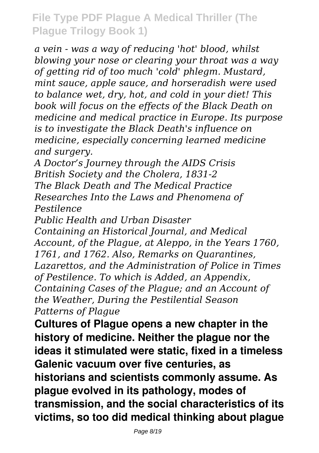*a vein - was a way of reducing 'hot' blood, whilst blowing your nose or clearing your throat was a way of getting rid of too much 'cold' phlegm. Mustard, mint sauce, apple sauce, and horseradish were used to balance wet, dry, hot, and cold in your diet! This book will focus on the effects of the Black Death on medicine and medical practice in Europe. Its purpose is to investigate the Black Death's influence on medicine, especially concerning learned medicine and surgery.*

*A Doctor's Journey through the AIDS Crisis British Society and the Cholera, 1831-2 The Black Death and The Medical Practice Researches Into the Laws and Phenomena of Pestilence*

*Public Health and Urban Disaster*

*Containing an Historical Journal, and Medical Account, of the Plague, at Aleppo, in the Years 1760, 1761, and 1762. Also, Remarks on Quarantines, Lazarettos, and the Administration of Police in Times of Pestilence. To which is Added, an Appendix, Containing Cases of the Plague; and an Account of the Weather, During the Pestilential Season Patterns of Plague*

**Cultures of Plague opens a new chapter in the history of medicine. Neither the plague nor the ideas it stimulated were static, fixed in a timeless Galenic vacuum over five centuries, as historians and scientists commonly assume. As plague evolved in its pathology, modes of transmission, and the social characteristics of its victims, so too did medical thinking about plague**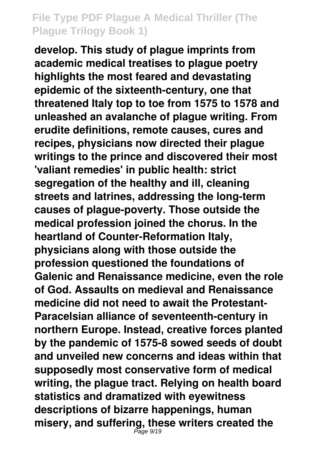**develop. This study of plague imprints from academic medical treatises to plague poetry highlights the most feared and devastating epidemic of the sixteenth-century, one that threatened Italy top to toe from 1575 to 1578 and unleashed an avalanche of plague writing. From erudite definitions, remote causes, cures and recipes, physicians now directed their plague writings to the prince and discovered their most 'valiant remedies' in public health: strict segregation of the healthy and ill, cleaning streets and latrines, addressing the long-term causes of plague-poverty. Those outside the medical profession joined the chorus. In the heartland of Counter-Reformation Italy, physicians along with those outside the profession questioned the foundations of Galenic and Renaissance medicine, even the role of God. Assaults on medieval and Renaissance medicine did not need to await the Protestant-Paracelsian alliance of seventeenth-century in northern Europe. Instead, creative forces planted by the pandemic of 1575-8 sowed seeds of doubt and unveiled new concerns and ideas within that supposedly most conservative form of medical writing, the plague tract. Relying on health board statistics and dramatized with eyewitness descriptions of bizarre happenings, human misery, and suffering, these writers created the** Page 9/19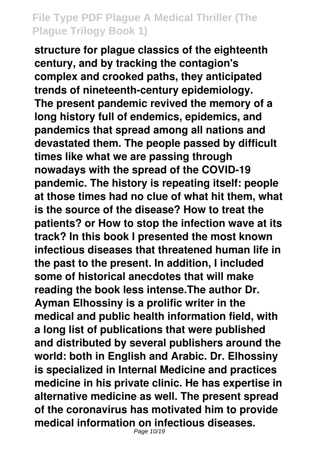**structure for plague classics of the eighteenth century, and by tracking the contagion's complex and crooked paths, they anticipated trends of nineteenth-century epidemiology. The present pandemic revived the memory of a long history full of endemics, epidemics, and pandemics that spread among all nations and devastated them. The people passed by difficult times like what we are passing through nowadays with the spread of the COVID-19 pandemic. The history is repeating itself: people at those times had no clue of what hit them, what is the source of the disease? How to treat the patients? or How to stop the infection wave at its track? In this book I presented the most known infectious diseases that threatened human life in the past to the present. In addition, I included some of historical anecdotes that will make reading the book less intense.The author Dr. Ayman Elhossiny is a prolific writer in the medical and public health information field, with a long list of publications that were published and distributed by several publishers around the world: both in English and Arabic. Dr. Elhossiny is specialized in Internal Medicine and practices medicine in his private clinic. He has expertise in alternative medicine as well. The present spread of the coronavirus has motivated him to provide medical information on infectious diseases.**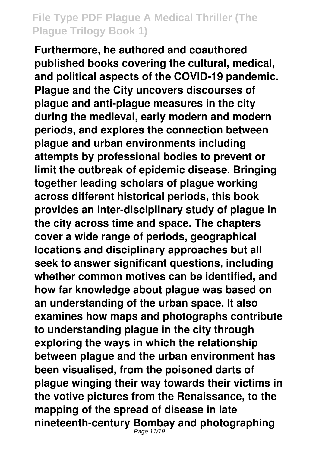**Furthermore, he authored and coauthored published books covering the cultural, medical, and political aspects of the COVID-19 pandemic. Plague and the City uncovers discourses of plague and anti-plague measures in the city during the medieval, early modern and modern periods, and explores the connection between plague and urban environments including attempts by professional bodies to prevent or limit the outbreak of epidemic disease. Bringing together leading scholars of plague working across different historical periods, this book provides an inter-disciplinary study of plague in the city across time and space. The chapters cover a wide range of periods, geographical locations and disciplinary approaches but all seek to answer significant questions, including whether common motives can be identified, and how far knowledge about plague was based on an understanding of the urban space. It also examines how maps and photographs contribute to understanding plague in the city through exploring the ways in which the relationship between plague and the urban environment has been visualised, from the poisoned darts of plague winging their way towards their victims in the votive pictures from the Renaissance, to the mapping of the spread of disease in late nineteenth-century Bombay and photographing** Page 11/19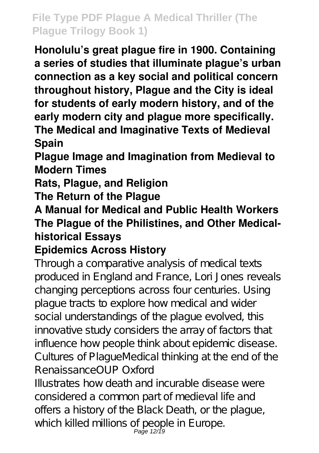**Honolulu's great plague fire in 1900. Containing a series of studies that illuminate plague's urban connection as a key social and political concern throughout history, Plague and the City is ideal for students of early modern history, and of the early modern city and plague more specifically. The Medical and Imaginative Texts of Medieval Spain**

**Plague Image and Imagination from Medieval to Modern Times**

**Rats, Plague, and Religion**

**The Return of the Plague**

**A Manual for Medical and Public Health Workers The Plague of the Philistines, and Other Medicalhistorical Essays**

#### **Epidemics Across History**

Through a comparative analysis of medical texts produced in England and France, Lori Jones reveals changing perceptions across four centuries. Using plague tracts to explore how medical and wider social understandings of the plague evolved, this innovative study considers the array of factors that influence how people think about epidemic disease. Cultures of PlagueMedical thinking at the end of the RenaissanceOUP Oxford

Illustrates how death and incurable disease were considered a common part of medieval life and offers a history of the Black Death, or the plague, which killed millions of people in Europe.<br>Page 12/19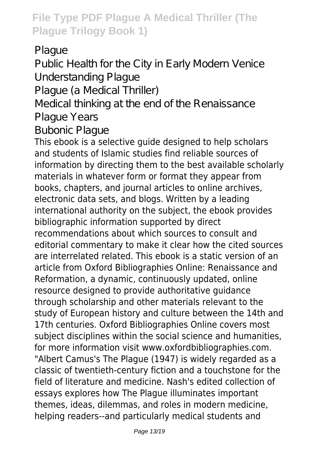Plague

Public Health for the City in Early Modern Venice Understanding Plague

Plague (a Medical Thriller)

Medical thinking at the end of the Renaissance Plague Years

Bubonic Plague

This ebook is a selective guide designed to help scholars and students of Islamic studies find reliable sources of information by directing them to the best available scholarly materials in whatever form or format they appear from books, chapters, and journal articles to online archives, electronic data sets, and blogs. Written by a leading international authority on the subject, the ebook provides bibliographic information supported by direct recommendations about which sources to consult and editorial commentary to make it clear how the cited sources are interrelated related. This ebook is a static version of an article from Oxford Bibliographies Online: Renaissance and Reformation, a dynamic, continuously updated, online resource designed to provide authoritative guidance through scholarship and other materials relevant to the study of European history and culture between the 14th and 17th centuries. Oxford Bibliographies Online covers most subject disciplines within the social science and humanities, for more information visit www.oxfordbibliographies.com. "Albert Camus's The Plague (1947) is widely regarded as a classic of twentieth-century fiction and a touchstone for the field of literature and medicine. Nash's edited collection of essays explores how The Plague illuminates important themes, ideas, dilemmas, and roles in modern medicine, helping readers--and particularly medical students and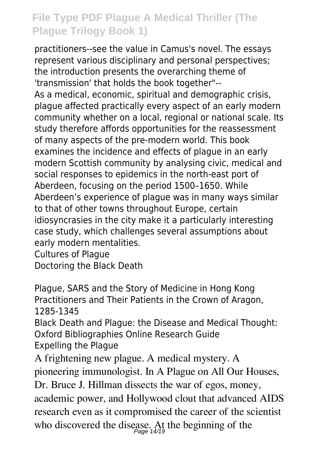practitioners--see the value in Camus's novel. The essays represent various disciplinary and personal perspectives; the introduction presents the overarching theme of 'transmission' that holds the book together"-- As a medical, economic, spiritual and demographic crisis, plague affected practically every aspect of an early modern community whether on a local, regional or national scale. Its study therefore affords opportunities for the reassessment of many aspects of the pre-modern world. This book examines the incidence and effects of plague in an early modern Scottish community by analysing civic, medical and social responses to epidemics in the north-east port of Aberdeen, focusing on the period 1500–1650. While Aberdeen's experience of plague was in many ways similar to that of other towns throughout Europe, certain idiosyncrasies in the city make it a particularly interesting case study, which challenges several assumptions about early modern mentalities.

Cultures of Plague Doctoring the Black Death

Plague, SARS and the Story of Medicine in Hong Kong Practitioners and Their Patients in the Crown of Aragon, 1285-1345

Black Death and Plague: the Disease and Medical Thought: Oxford Bibliographies Online Research Guide Expelling the Plague

A frightening new plague. A medical mystery. A pioneering immunologist. In A Plague on All Our Houses, Dr. Bruce J. Hillman dissects the war of egos, money, academic power, and Hollywood clout that advanced AIDS research even as it compromised the career of the scientist who discovered the disease. At the beginning of the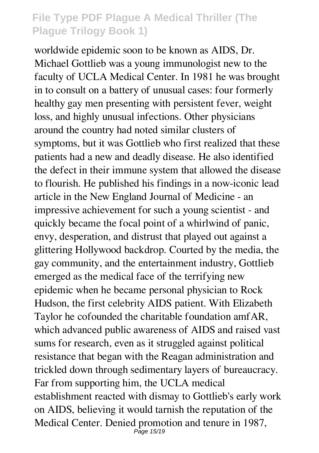worldwide epidemic soon to be known as AIDS, Dr. Michael Gottlieb was a young immunologist new to the faculty of UCLA Medical Center. In 1981 he was brought in to consult on a battery of unusual cases: four formerly healthy gay men presenting with persistent fever, weight loss, and highly unusual infections. Other physicians around the country had noted similar clusters of symptoms, but it was Gottlieb who first realized that these patients had a new and deadly disease. He also identified the defect in their immune system that allowed the disease to flourish. He published his findings in a now-iconic lead article in the New England Journal of Medicine - an impressive achievement for such a young scientist - and quickly became the focal point of a whirlwind of panic, envy, desperation, and distrust that played out against a glittering Hollywood backdrop. Courted by the media, the gay community, and the entertainment industry, Gottlieb emerged as the medical face of the terrifying new epidemic when he became personal physician to Rock Hudson, the first celebrity AIDS patient. With Elizabeth Taylor he cofounded the charitable foundation amfAR, which advanced public awareness of AIDS and raised vast sums for research, even as it struggled against political resistance that began with the Reagan administration and trickled down through sedimentary layers of bureaucracy. Far from supporting him, the UCLA medical establishment reacted with dismay to Gottlieb's early work on AIDS, believing it would tarnish the reputation of the Medical Center. Denied promotion and tenure in 1987, Page 15/19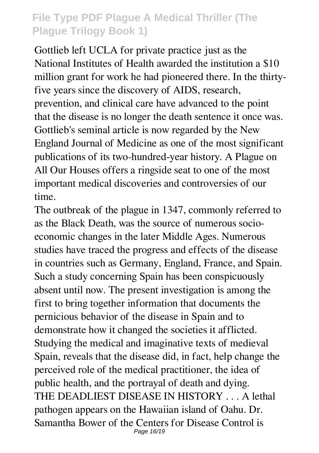Gottlieb left UCLA for private practice just as the National Institutes of Health awarded the institution a \$10 million grant for work he had pioneered there. In the thirtyfive years since the discovery of AIDS, research, prevention, and clinical care have advanced to the point that the disease is no longer the death sentence it once was. Gottlieb's seminal article is now regarded by the New England Journal of Medicine as one of the most significant publications of its two-hundred-year history. A Plague on All Our Houses offers a ringside seat to one of the most important medical discoveries and controversies of our time.

The outbreak of the plague in 1347, commonly referred to as the Black Death, was the source of numerous socioeconomic changes in the later Middle Ages. Numerous studies have traced the progress and effects of the disease in countries such as Germany, England, France, and Spain. Such a study concerning Spain has been conspicuously absent until now. The present investigation is among the first to bring together information that documents the pernicious behavior of the disease in Spain and to demonstrate how it changed the societies it afflicted. Studying the medical and imaginative texts of medieval Spain, reveals that the disease did, in fact, help change the perceived role of the medical practitioner, the idea of public health, and the portrayal of death and dying. THE DEADLIEST DISEASE IN HISTORY . . . A lethal pathogen appears on the Hawaiian island of Oahu. Dr. Samantha Bower of the Centers for Disease Control is Page 16/19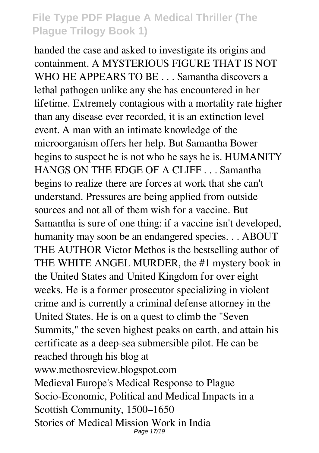handed the case and asked to investigate its origins and containment. A MYSTERIOUS FIGURE THAT IS NOT WHO HE APPEARS TO BE . . . Samantha discovers a lethal pathogen unlike any she has encountered in her lifetime. Extremely contagious with a mortality rate higher than any disease ever recorded, it is an extinction level event. A man with an intimate knowledge of the microorganism offers her help. But Samantha Bower begins to suspect he is not who he says he is. HUMANITY HANGS ON THE EDGE OF A CLIFF . . . Samantha begins to realize there are forces at work that she can't understand. Pressures are being applied from outside sources and not all of them wish for a vaccine. But Samantha is sure of one thing: if a vaccine isn't developed, humanity may soon be an endangered species. . . ABOUT THE AUTHOR Victor Methos is the bestselling author of THE WHITE ANGEL MURDER, the #1 mystery book in the United States and United Kingdom for over eight weeks. He is a former prosecutor specializing in violent crime and is currently a criminal defense attorney in the United States. He is on a quest to climb the "Seven Summits," the seven highest peaks on earth, and attain his certificate as a deep-sea submersible pilot. He can be reached through his blog at www.methosreview.blogspot.com Medieval Europe's Medical Response to Plague Socio-Economic, Political and Medical Impacts in a Scottish Community, 1500–1650 Stories of Medical Mission Work in India Page 17/19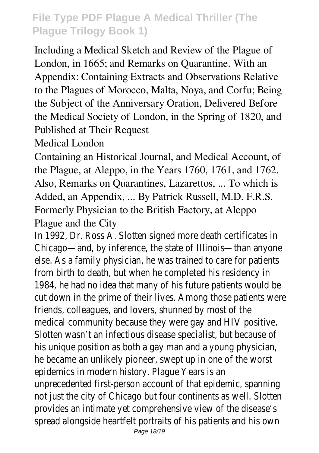Including a Medical Sketch and Review of the Plague of London, in 1665; and Remarks on Quarantine. With an Appendix: Containing Extracts and Observations Relative to the Plagues of Morocco, Malta, Noya, and Corfu; Being the Subject of the Anniversary Oration, Delivered Before the Medical Society of London, in the Spring of 1820, and Published at Their Request

Medical London

Containing an Historical Journal, and Medical Account, of the Plague, at Aleppo, in the Years 1760, 1761, and 1762. Also, Remarks on Quarantines, Lazarettos, ... To which is Added, an Appendix, ... By Patrick Russell, M.D. F.R.S. Formerly Physician to the British Factory, at Aleppo Plague and the City

In 1992, Dr. Ross A. Slotten signed more death certificates in Chicago—and, by inference, the state of Illinois—than anyone else. As a family physician, he was trained to care for patients from birth to death, but when he completed his residency in 1984, he had no idea that many of his future patients would be cut down in the prime of their lives. Among those patients were friends, colleagues, and lovers, shunned by most of the medical community because they were gay and HIV positive. Slotten wasn't an infectious disease specialist, but because of his unique position as both a gay man and a young physician, he became an unlikely pioneer, swept up in one of the worst epidemics in modern history. Plague Years is an unprecedented first-person account of that epidemic, spanning not just the city of Chicago but four continents as well. Slotten provides an intimate yet comprehensive view of the disease's spread alongside heartfelt portraits of his patients and his own